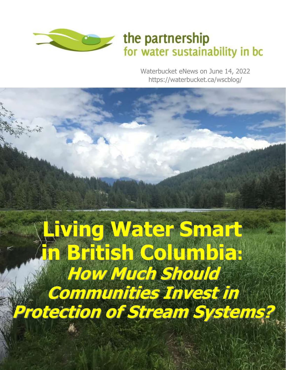

## the partnership for water sustainability in bc

Waterbucket eNews on June 14, 2022 https://waterbucket.ca/wscblog/

1

# **Living Water Smart in British Columbia: How Much Should Communities Invest in Protection of Stream Systems?**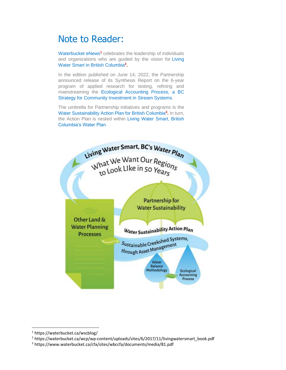## Note to Reader:

Waterbucket eNews**<sup>1</sup>** celebrates the leadership of individuals and organizations who are guided by the vision for Living Water Smart in British Columbia**<sup>2</sup> .**

In the edition published on June 14, 2022, the Partnership announced release of its Synthesis Report on the 6-year program of applied research for testing, refining and mainstreaming the Ecological Accounting Process, a BC Strategy for Community Investment in Stream Systems.

The umbrella for Partnership initiatives and programs is the Water Sustainability Action Plan for British Columbia**<sup>3</sup> .** In turn, the Action Plan is nested within Living Water Smart, British Columbia's Water Plan.



<sup>2</sup> https://waterbucket.ca/wcp/wp-content/uploads/sites/6/2017/11/livingwatersmart\_book.pdf

<sup>1</sup> https://waterbucket.ca/wscblog/

<sup>3</sup> https://www.waterbucket.ca/cfa/sites/wbccfa/documents/media/81.pdf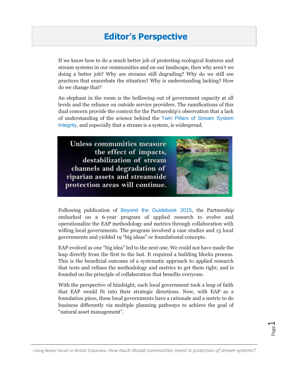#### **Editor's Perspective**

If we know how to do a much better job of protecting ecological features and stream systems in our communities and on our landscape, then why aren't we doing a better job? Why are streams still degrading? Why do we still see practices that exacerbate the situation? Why is understanding lacking? How do we change that?

An elephant in the room is the hollowing out of government capacity at all levels and the reliance on outside service providers. The ramifications of this dual concern provide the context for the Partnership's observation that a lack of understanding of the science behind the Twin Pillars of Stream System Integrity, and especially that a stream is a system, is widespread.

**Unless communities measure** the effect of impacts, destabilization of stream channels and degradation of riparian assets and streamside protection areas will continue.



Following publication of Beyond the Guidebook 2015, the Partnership embarked on a 6-year program of applied research to evolve and operationalize the EAP methodology and metrics through collaboration with willing local governments. The program involved 9 case studies and 13 local governments and yielded 19 "big ideas" or foundational concepts.

EAP evolved as one "big idea" led to the next one. We could not have made the leap directly from the first to the last. It required a building blocks process. This is the beneficial outcome of a systematic approach to applied research that tests and refines the methodology and metrics to get them right, and is founded on the principle of collaboration that benefits everyone.

With the perspective of hindsight, each local government took a leap of faith that EAP would fit into their strategic directions. Now, with EAP as a foundation piece, these local governments have a rationale and a metric to do business differently via multiple planning pathways to achieve the goal of "natural asset management".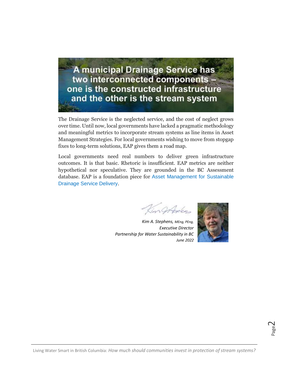A municipal Drainage Service has two interconnected components one is the constructed infrastructure and the other is the stream system

The Drainage Service is the neglected service, and the cost of neglect grows over time. Until now, local governments have lacked a pragmatic methodology and meaningful metrics to incorporate stream systems as line items in Asset Management Strategies. For local governments wishing to move from stopgap fixes to long-term solutions, EAP gives them a road map.

Local governments need real numbers to deliver green infrastructure outcomes. It is that basic. Rhetoric is insufficient. EAP metrics are neither hypothetical nor speculative. They are grounded in the BC Assessment database. EAP is a foundation piece for Asset Management for Sustainable Drainage Service Delivery.

in Ortolen

*Kim A. Stephens, MEng, PEng, Executive Director Partnership for Water Sustainability in BC June 2022*



Page  $\sim$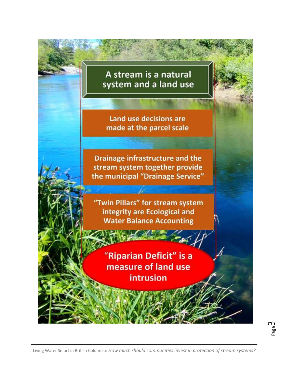## A stream is a natural system and a land use

Land use decisions are made at the parcel scale

Drainage infrastructure and the stream system together provide the municipal "Drainage Service"

"Twin Pillars" for stream system integrity are Ecological and **Water Balance Accounting** 

> "Riparian Deficit" is a measure of land use intrusion

Page ന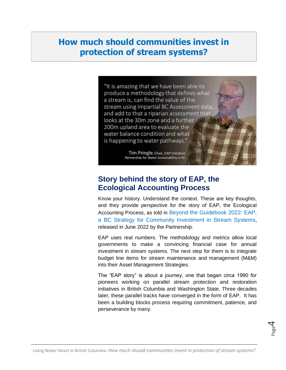### **How much should communities invest in protection of stream systems?**



**Story behind the story of EAP, the** 

## **Ecological Accounting Process**

Know your history. Understand the context. These are key thoughts, and they provide perspective for the story of EAP, the Ecological Accounting Process, as told in Beyond the Guidebook 2022: EAP, a BC Strategy for Community Investment in Stream Systems, released in June 2022 by the Partnership.

EAP uses real numbers. The methodology and metrics allow local governments to make a convincing financial case for annual investment in stream systems. The next step for them is to integrate budget line items for stream maintenance and management (M&M) into their Asset Management Strategies.

The "EAP story" is about a journey, one that began circa 1990 for pioneers working on parallel stream protection and restoration initiatives in British Columbia and Washington State. Three decades later, these parallel tracks have converged in the form of EAP. It has been a building blocks process requiring commitment, patience, and perseverance by many.

Page 4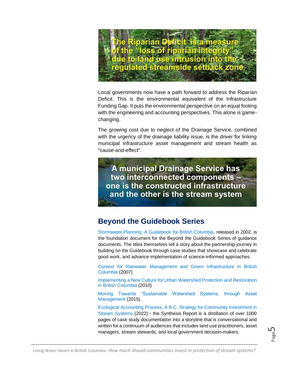

Local governments now have a path forward to address the Riparian Deficit. This is the environmental equivalent of the Infrastructure Funding Gap. It puts the environmental perspective on an equal footing with the engineering and accounting perspectives. This alone is gamechanging.

The growing cost due to neglect of the Drainage Service, combined with the urgency of the drainage liability issue, is the driver for linking municipal infrastructure asset management and stream health as "cause-and-effect".

A municipal Drainage Service has two interconnected components one is the constructed infrastructure and the other is the stream system

#### **Beyond the Guidebook Series**

Stormwater Planning: A Guidebook for British Columbia, released in 2002, is the foundation document for the Beyond the Guidebook Series of guidance documents. The titles themselves tell a story about the partnership journey in building on the Guidebook through case studies that showcase and celebrate good work, and advance implementation of science-informed approaches.

Context for Rainwater Management and Green Infrastructure in British Columbia (2007)

Implementing a New Culture for Urban Watershed Protection and Restoration in British Columbia (2010)

Moving Towards "Sustainable Watershed Systems, through Asset Management (2015).

Ecological Accounting Process, A B.C. Strategy for Community Investment in Stream Systems (2022) - the Synthesis Report is a distillation of over 1000 pages of case study documentation into a storyline that is conversational and written for a continuum of audiences that includes land use practitioners, asset managers, stream stewards, and local government decision-makers.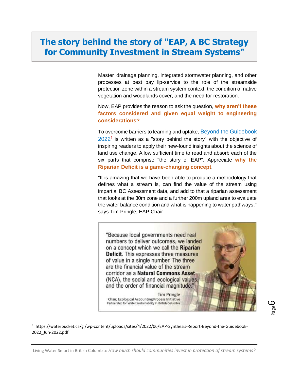#### **The story behind the story of "EAP, A BC Strategy for Community Investment in Stream Systems"**

Master drainage planning, integrated stormwater planning, and other processes at best pay lip-service to the role of the streamside protection zone within a stream system context, the condition of native vegetation and woodlands cover, and the need for restoration.

Now, EAP provides the reason to ask the question, **why aren't these factors considered and given equal weight to engineering considerations?**

To overcome barriers to learning and uptake, Beyond the Guidebook 2022**<sup>4</sup>** is written as a "story behind the story" with the objective of inspiring readers to apply their new-found insights about the science of land use change. Allow sufficient time to read and absorb each of the six parts that comprise "the story of EAP". Appreciate **why the Riparian Deficit is a game-changing concept**.

"It is amazing that we have been able to produce a methodology that defines what a stream is, can find the value of the stream using impartial BC Assessment data, and add to that a riparian assessment that looks at the 30m zone and a further 200m upland area to evaluate the water balance condition and what is happening to water pathways," says Tim Pringle, EAP Chair.

"Because local governments need real numbers to deliver outcomes, we landed on a concept which we call the Riparian Deficit. This expresses three measures of value in a single number. The three are the financial value of the stream corridor as a Natural Commons Asset (NCA), the social and ecological values, and the order of financial magnitude."

Chair, Ecological Accounting Process Initiative Partnership for Water Sustainability in British Columbia

**Tim Pringle** 

Page ص

<sup>4</sup> https://waterbucket.ca/gi/wp-content/uploads/sites/4/2022/06/EAP-Synthesis-Report-Beyond-the-Guidebook-2022\_Jun-2022.pdf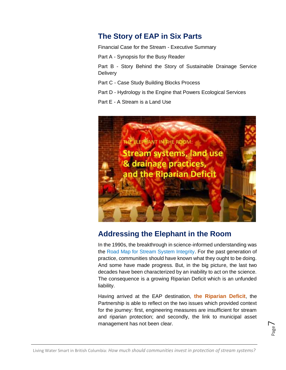#### **The Story of EAP in Six Parts**

Financial Case for the Stream - Executive Summary

Part A - Synopsis for the Busy Reader

Part B - Story Behind the Story of Sustainable Drainage Service **Delivery** 

Part C - Case Study Building Blocks Process

Part D - Hydrology is the Engine that Powers Ecological Services

Part E - A Stream is a Land Use



#### **Addressing the Elephant in the Room**

In the 1990s, the breakthrough in science-informed understanding was the Road Map for Stream System Integrity. For the past generation of practice, communities should have known what they ought to be doing. And some have made progress. But, in the big picture, the last two decades have been characterized by an inability to act on the science. The consequence is a growing Riparian Deficit which is an unfunded liability.

Having arrived at the EAP destination, **the Riparian Deficit**, the Partnership is able to reflect on the two issues which provided context for the journey: first, engineering measures are insufficient for stream and riparian protection; and secondly, the link to municipal asset management has not been clear.

$$
_{\rm Page}7
$$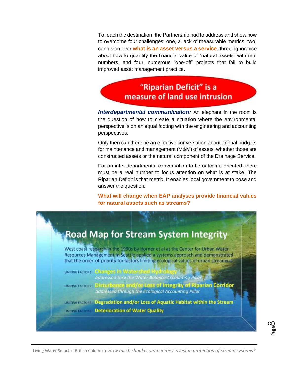To reach the destination, the Partnership had to address and show how to overcome four challenges: one, a lack of measurable metrics; two, confusion over **what is an asset versus a service**; three, ignorance about how to quantify the financial value of "natural assets" with real numbers; and four, numerous "one-off" projects that fail to build improved asset management practice.

> "Riparian Deficit" is a measure of land use intrusion

*Interdepartmental communication:* An elephant in the room is the question of how to create a situation where the environmental perspective is on an equal footing with the engineering and accounting perspectives.

Only then can there be an effective conversation about annual budgets for maintenance and management (M&M) of assets, whether those are constructed assets or the natural component of the Drainage Service.

For an inter-departmental conversation to be outcome-oriented, there must be a real number to focus attention on what is at stake. The Riparian Deficit is that metric. It enables local government to pose and answer the question:

**What will change when EAP analyses provide financial values for natural assets such as streams?**



Page  $\infty$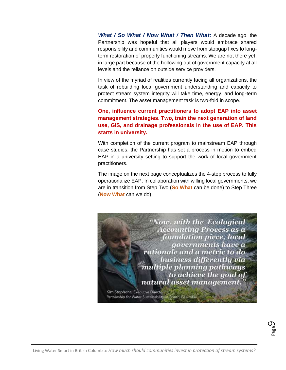*What / So What / Now What / Then What:* A decade ago, the Partnership was hopeful that all players would embrace shared responsibility and communities would move from stopgap fixes to longterm restoration of properly functioning streams. We are not there yet, in large part because of the hollowing out of government capacity at all levels and the reliance on outside service providers.

In view of the myriad of realities currently facing all organizations, the task of rebuilding local government understanding and capacity to protect stream system integrity will take time, energy, and long-term commitment. The asset management task is two-fold in scope.

**One, influence current practitioners to adopt EAP into asset management strategies. Two, train the next generation of land use, GIS, and drainage professionals in the use of EAP. This starts in university.**

With completion of the current program to mainstream EAP through case studies, the Partnership has set a process in motion to embed EAP in a university setting to support the work of local government practitioners.

The image on the next page conceptualizes the 4-step process to fully operationalize EAP. In collaboration with willing local governments, we are in transition from Step Two (**So What** can be done) to Step Three (**Now What** can we do).

> "Now, with the Ecological Accounting Process as a foundation piece, local governments have a rationale and a metric to do. business differently via multiple planning pathways to achieve the goal of natural asset management.

Kim Stephens, Executive Director, Partnership for Water Sustainability in British Columbia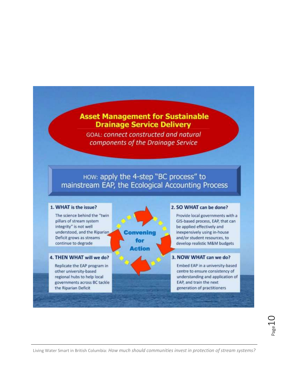#### **Asset Management for Sustainable Drainage Service Delivery**

**GOAL: connect constructed and natural** components of the Drainage Service

#### ноw: apply the 4-step "BC process" to mainstream EAP, the Ecological Accounting Process

#### 1. WHAT is the issue?

The science behind the "twin pillars of stream system integrity" is not well understood, and the Riparian Deficit grows as streams continue to degrade

#### 4. THEN WHAT will we do?

Replicate the EAP program in other university-based regional hubs to help local governments across BC tackle the Riparian Deficit

Convening for Action

#### 2. SO WHAT can be done?

Provide local governments with a GIS-based process, EAP, that can be applied effectively and inexpensively using in-house and/or student resources, to develop realistic M&M budgets

#### 3. NOW WHAT can we do?

Embed EAP in a university-based centre to ensure consistency of understanding and application of EAP, and train the next generation of practitioners

Lage<sup>1</sup>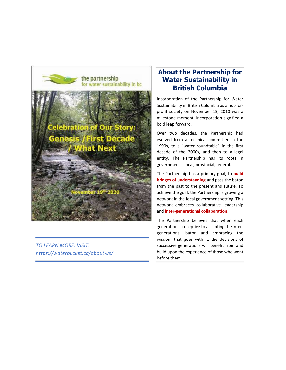

*TO LEARN MORE, VISIT: https://waterbucket.ca/about-us/*

#### **About the Partnership for Water Sustainability in British Columbia**

Incorporation of the Partnership for Water Sustainability in British Columbia as a not-forprofit society on November 19, 2010 was a milestone moment. Incorporation signified a bold leap forward.

Over two decades, the Partnership had evolved from a technical committee in the 1990s, to a "water roundtable" in the first decade of the 2000s, and then to a legal entity. The Partnership has its roots in government – local, provincial, federal.

The Partnership has a primary goal, to **build bridges of understanding** and pass the baton from the past to the present and future. To achieve the goal, the Partnership is growing a network in the local government setting. This network embraces collaborative leadership and **inter-generational collaboration**.

The Partnership believes that when each generation is receptive to accepting the intergenerational baton and embracing the wisdom that goes with it, the decisions of successive generations will benefit from and build upon the experience of those who went before them.